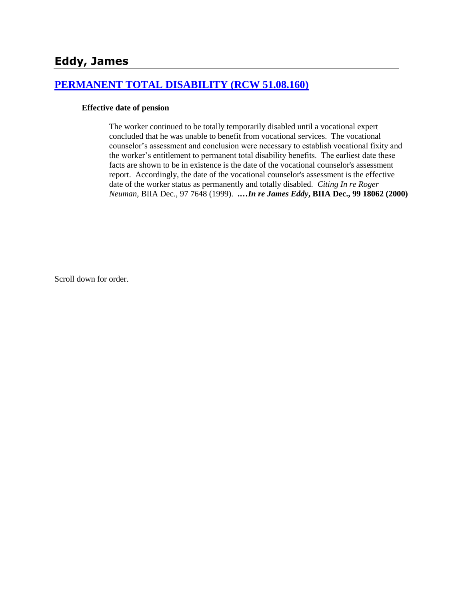# **[PERMANENT TOTAL DISABILITY \(RCW 51.08.160\)](http://www.biia.wa.gov/SDSubjectIndex.html#PERMANENT_TOTAL_DISABILITY)**

#### **Effective date of pension**

The worker continued to be totally temporarily disabled until a vocational expert concluded that he was unable to benefit from vocational services. The vocational counselor's assessment and conclusion were necessary to establish vocational fixity and the worker's entitlement to permanent total disability benefits. The earliest date these facts are shown to be in existence is the date of the vocational counselor's assessment report. Accordingly, the date of the vocational counselor's assessment is the effective date of the worker status as permanently and totally disabled. *Citing In re Roger Neuman*, BIIA Dec., 97 7648 (1999). **.…***In re James Eddy***, BIIA Dec., 99 18062 (2000)**

Scroll down for order.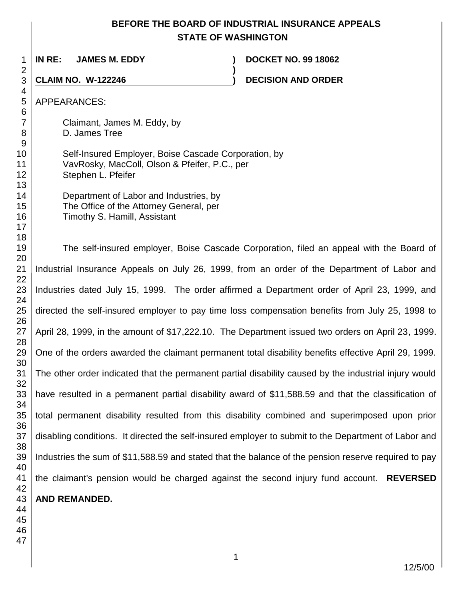# **BEFORE THE BOARD OF INDUSTRIAL INSURANCE APPEALS STATE OF WASHINGTON**

**)**

**IN RE: JAMES M. EDDY ) DOCKET NO. 99 18062**

**CLAIM NO. W-122246 ) DECISION AND ORDER** 

APPEARANCES:

Claimant, James M. Eddy, by D. James Tree

Self-Insured Employer, Boise Cascade Corporation, by VavRosky, MacColl, Olson & Pfeifer, P.C., per Stephen L. Pfeifer

Department of Labor and Industries, by The Office of the Attorney General, per Timothy S. Hamill, Assistant

The self-insured employer, Boise Cascade Corporation, filed an appeal with the Board of Industrial Insurance Appeals on July 26, 1999, from an order of the Department of Labor and Industries dated July 15, 1999. The order affirmed a Department order of April 23, 1999, and directed the self-insured employer to pay time loss compensation benefits from July 25, 1998 to April 28, 1999, in the amount of \$17,222.10. The Department issued two orders on April 23, 1999. One of the orders awarded the claimant permanent total disability benefits effective April 29, 1999. The other order indicated that the permanent partial disability caused by the industrial injury would have resulted in a permanent partial disability award of \$11,588.59 and that the classification of total permanent disability resulted from this disability combined and superimposed upon prior disabling conditions. It directed the self-insured employer to submit to the Department of Labor and Industries the sum of \$11,588.59 and stated that the balance of the pension reserve required to pay the claimant's pension would be charged against the second injury fund account. **REVERSED AND REMANDED.**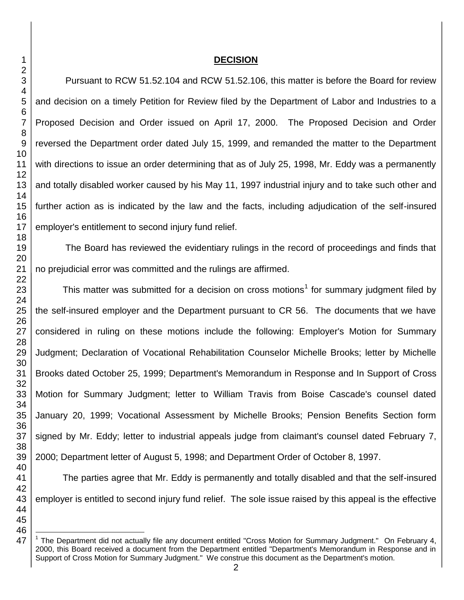### 

### **DECISION**

Pursuant to RCW 51.52.104 and RCW 51.52.106, this matter is before the Board for review and decision on a timely Petition for Review filed by the Department of Labor and Industries to a Proposed Decision and Order issued on April 17, 2000. The Proposed Decision and Order reversed the Department order dated July 15, 1999, and remanded the matter to the Department with directions to issue an order determining that as of July 25, 1998, Mr. Eddy was a permanently and totally disabled worker caused by his May 11, 1997 industrial injury and to take such other and further action as is indicated by the law and the facts, including adjudication of the self-insured employer's entitlement to second injury fund relief.

The Board has reviewed the evidentiary rulings in the record of proceedings and finds that no prejudicial error was committed and the rulings are affirmed.

This matter was submitted for a decision on cross motions<sup>1</sup> for summary judgment filed by the self-insured employer and the Department pursuant to CR 56. The documents that we have considered in ruling on these motions include the following: Employer's Motion for Summary Judgment; Declaration of Vocational Rehabilitation Counselor Michelle Brooks; letter by Michelle Brooks dated October 25, 1999; Department's Memorandum in Response and In Support of Cross Motion for Summary Judgment; letter to William Travis from Boise Cascade's counsel dated January 20, 1999; Vocational Assessment by Michelle Brooks; Pension Benefits Section form signed by Mr. Eddy; letter to industrial appeals judge from claimant's counsel dated February 7, 2000; Department letter of August 5, 1998; and Department Order of October 8, 1997.

The parties agree that Mr. Eddy is permanently and totally disabled and that the self-insured employer is entitled to second injury fund relief. The sole issue raised by this appeal is the effective

 l The Department did not actually file any document entitled "Cross Motion for Summary Judgment." On February 4, 2000, this Board received a document from the Department entitled "Department's Memorandum in Response and in Support of Cross Motion for Summary Judgment." We construe this document as the Department's motion.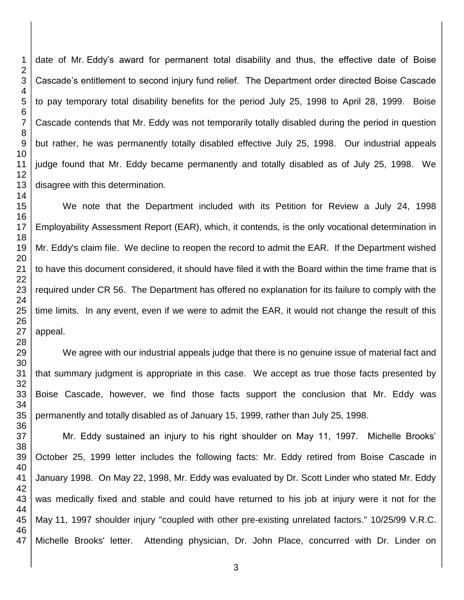date of Mr. Eddy's award for permanent total disability and thus, the effective date of Boise Cascade's entitlement to second injury fund relief. The Department order directed Boise Cascade to pay temporary total disability benefits for the period July 25, 1998 to April 28, 1999. Boise Cascade contends that Mr. Eddy was not temporarily totally disabled during the period in question but rather, he was permanently totally disabled effective July 25, 1998. Our industrial appeals judge found that Mr. Eddy became permanently and totally disabled as of July 25, 1998. We disagree with this determination.

We note that the Department included with its Petition for Review a July 24, 1998 Employability Assessment Report (EAR), which, it contends, is the only vocational determination in Mr. Eddy's claim file. We decline to reopen the record to admit the EAR. If the Department wished to have this document considered, it should have filed it with the Board within the time frame that is required under CR 56. The Department has offered no explanation for its failure to comply with the time limits. In any event, even if we were to admit the EAR, it would not change the result of this appeal.

We agree with our industrial appeals judge that there is no genuine issue of material fact and that summary judgment is appropriate in this case. We accept as true those facts presented by Boise Cascade, however, we find those facts support the conclusion that Mr. Eddy was permanently and totally disabled as of January 15, 1999, rather than July 25, 1998.

Mr. Eddy sustained an injury to his right shoulder on May 11, 1997. Michelle Brooks' October 25, 1999 letter includes the following facts: Mr. Eddy retired from Boise Cascade in January 1998. On May 22, 1998, Mr. Eddy was evaluated by Dr. Scott Linder who stated Mr. Eddy was medically fixed and stable and could have returned to his job at injury were it not for the May 11, 1997 shoulder injury "coupled with other pre-existing unrelated factors." 10/25/99 V.R.C. Michelle Brooks' letter. Attending physician, Dr. John Place, concurred with Dr. Linder on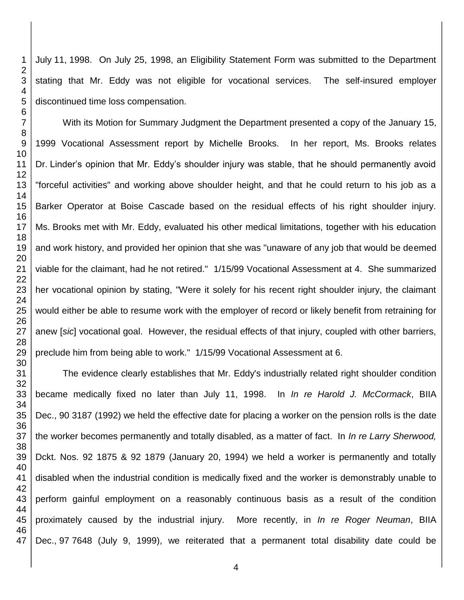July 11, 1998. On July 25, 1998, an Eligibility Statement Form was submitted to the Department stating that Mr. Eddy was not eligible for vocational services. The self-insured employer discontinued time loss compensation.

With its Motion for Summary Judgment the Department presented a copy of the January 15, 1999 Vocational Assessment report by Michelle Brooks. In her report, Ms. Brooks relates Dr. Linder's opinion that Mr. Eddy's shoulder injury was stable, that he should permanently avoid "forceful activities" and working above shoulder height, and that he could return to his job as a Barker Operator at Boise Cascade based on the residual effects of his right shoulder injury. Ms. Brooks met with Mr. Eddy, evaluated his other medical limitations, together with his education and work history, and provided her opinion that she was "unaware of any job that would be deemed viable for the claimant, had he not retired." 1/15/99 Vocational Assessment at 4. She summarized her vocational opinion by stating, "Were it solely for his recent right shoulder injury, the claimant would either be able to resume work with the employer of record or likely benefit from retraining for anew [*sic*] vocational goal. However, the residual effects of that injury, coupled with other barriers, preclude him from being able to work." 1/15/99 Vocational Assessment at 6.

The evidence clearly establishes that Mr. Eddy's industrially related right shoulder condition became medically fixed no later than July 11, 1998. In *In re Harold J. McCormack*, BIIA Dec., 90 3187 (1992) we held the effective date for placing a worker on the pension rolls is the date the worker becomes permanently and totally disabled, as a matter of fact. In *In re Larry Sherwood,*  Dckt. Nos. 92 1875 & 92 1879 (January 20, 1994) we held a worker is permanently and totally disabled when the industrial condition is medically fixed and the worker is demonstrably unable to perform gainful employment on a reasonably continuous basis as a result of the condition proximately caused by the industrial injury. More recently, in *In re Roger Neuman*, BIIA Dec., 97 7648 (July 9, 1999), we reiterated that a permanent total disability date could be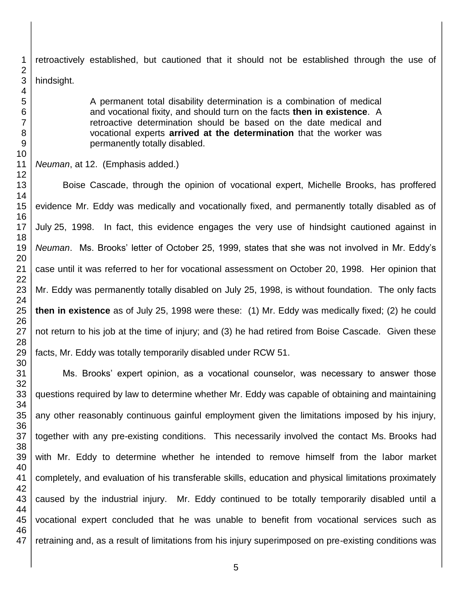retroactively established, but cautioned that it should not be established through the use of

hindsight.

A permanent total disability determination is a combination of medical and vocational fixity, and should turn on the facts **then in existence**. A retroactive determination should be based on the date medical and vocational experts **arrived at the determination** that the worker was permanently totally disabled.

*Neuman*, at 12. (Emphasis added.)

Boise Cascade, through the opinion of vocational expert, Michelle Brooks, has proffered evidence Mr. Eddy was medically and vocationally fixed, and permanently totally disabled as of July 25, 1998. In fact, this evidence engages the very use of hindsight cautioned against in *Neuman*. Ms. Brooks' letter of October 25, 1999, states that she was not involved in Mr. Eddy's case until it was referred to her for vocational assessment on October 20, 1998. Her opinion that Mr. Eddy was permanently totally disabled on July 25, 1998, is without foundation. The only facts **then in existence** as of July 25, 1998 were these: (1) Mr. Eddy was medically fixed; (2) he could not return to his job at the time of injury; and (3) he had retired from Boise Cascade. Given these facts, Mr. Eddy was totally temporarily disabled under RCW 51.

Ms. Brooks' expert opinion, as a vocational counselor, was necessary to answer those questions required by law to determine whether Mr. Eddy was capable of obtaining and maintaining any other reasonably continuous gainful employment given the limitations imposed by his injury, together with any pre-existing conditions. This necessarily involved the contact Ms. Brooks had with Mr. Eddy to determine whether he intended to remove himself from the labor market completely, and evaluation of his transferable skills, education and physical limitations proximately caused by the industrial injury. Mr. Eddy continued to be totally temporarily disabled until a vocational expert concluded that he was unable to benefit from vocational services such as retraining and, as a result of limitations from his injury superimposed on pre-existing conditions was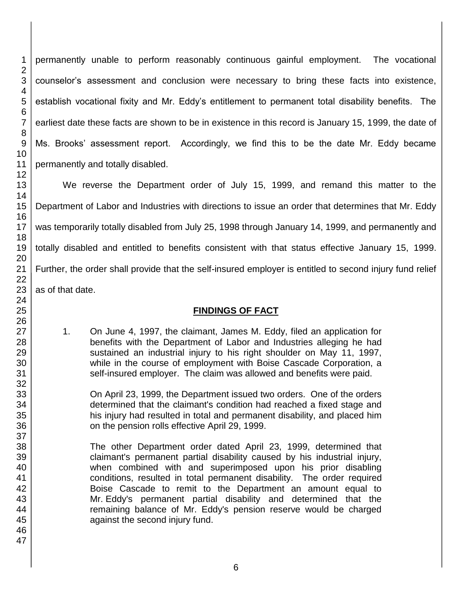permanently unable to perform reasonably continuous gainful employment. The vocational counselor's assessment and conclusion were necessary to bring these facts into existence, establish vocational fixity and Mr. Eddy's entitlement to permanent total disability benefits. The earliest date these facts are shown to be in existence in this record is January 15, 1999, the date of Ms. Brooks' assessment report. Accordingly, we find this to be the date Mr. Eddy became permanently and totally disabled.

We reverse the Department order of July 15, 1999, and remand this matter to the Department of Labor and Industries with directions to issue an order that determines that Mr. Eddy was temporarily totally disabled from July 25, 1998 through January 14, 1999, and permanently and totally disabled and entitled to benefits consistent with that status effective January 15, 1999. Further, the order shall provide that the self-insured employer is entitled to second injury fund relief as of that date.

## **FINDINGS OF FACT**

1. On June 4, 1997, the claimant, James M. Eddy, filed an application for benefits with the Department of Labor and Industries alleging he had sustained an industrial injury to his right shoulder on May 11, 1997, while in the course of employment with Boise Cascade Corporation, a self-insured employer. The claim was allowed and benefits were paid.

On April 23, 1999, the Department issued two orders. One of the orders determined that the claimant's condition had reached a fixed stage and his injury had resulted in total and permanent disability, and placed him on the pension rolls effective April 29, 1999.

The other Department order dated April 23, 1999, determined that claimant's permanent partial disability caused by his industrial injury, when combined with and superimposed upon his prior disabling conditions, resulted in total permanent disability. The order required Boise Cascade to remit to the Department an amount equal to Mr. Eddy's permanent partial disability and determined that the remaining balance of Mr. Eddy's pension reserve would be charged against the second injury fund.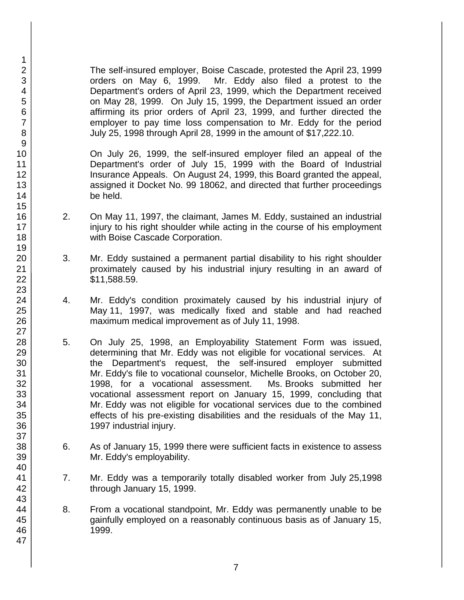The self-insured employer, Boise Cascade, protested the April 23, 1999 orders on May 6, 1999. Mr. Eddy also filed a protest to the Department's orders of April 23, 1999, which the Department received on May 28, 1999. On July 15, 1999, the Department issued an order affirming its prior orders of April 23, 1999, and further directed the employer to pay time loss compensation to Mr. Eddy for the period July 25, 1998 through April 28, 1999 in the amount of \$17,222.10.

On July 26, 1999, the self-insured employer filed an appeal of the Department's order of July 15, 1999 with the Board of Industrial Insurance Appeals. On August 24, 1999, this Board granted the appeal, assigned it Docket No. 99 18062, and directed that further proceedings be held.

- 2. On May 11, 1997, the claimant, James M. Eddy, sustained an industrial injury to his right shoulder while acting in the course of his employment with Boise Cascade Corporation.
- 3. Mr. Eddy sustained a permanent partial disability to his right shoulder proximately caused by his industrial injury resulting in an award of \$11,588.59.
- 4. Mr. Eddy's condition proximately caused by his industrial injury of May 11, 1997, was medically fixed and stable and had reached maximum medical improvement as of July 11, 1998.
- 5. On July 25, 1998, an Employability Statement Form was issued, determining that Mr. Eddy was not eligible for vocational services. At the Department's request, the self-insured employer submitted Mr. Eddy's file to vocational counselor, Michelle Brooks, on October 20, 1998, for a vocational assessment. Ms. Brooks submitted her vocational assessment report on January 15, 1999, concluding that Mr. Eddy was not eligible for vocational services due to the combined effects of his pre-existing disabilities and the residuals of the May 11, 1997 industrial injury.
- 6. As of January 15, 1999 there were sufficient facts in existence to assess Mr. Eddy's employability.
- 7. Mr. Eddy was a temporarily totally disabled worker from July 25,1998 through January 15, 1999.
- 8. From a vocational standpoint, Mr. Eddy was permanently unable to be gainfully employed on a reasonably continuous basis as of January 15, 1999.